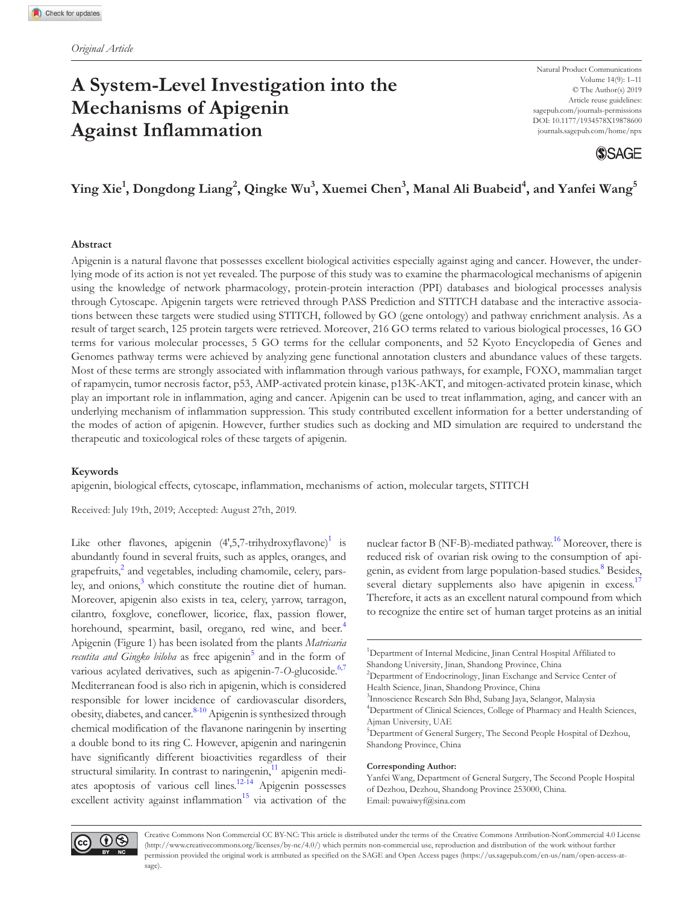# **A System-Level Investigation into the Mechanisms of Apigenin Against Inflammation**



# **Ying Xie<sup>1</sup> , Dongdong Liang<sup>2</sup> , Qingke Wu<sup>3</sup> , Xuemei Chen<sup>3</sup> , Manal Ali Buabeid<sup>4</sup> , and Yanfei Wang<sup>5</sup>**

### **Abstract**

Apigenin is a natural flavone that possesses excellent biological activities especially against aging and cancer. However, the underlying mode of its action is not yet revealed. The purpose of this study was to examine the pharmacological mechanisms of apigenin using the knowledge of network pharmacology, protein-protein interaction (PPI) databases and biological processes analysis through Cytoscape. Apigenin targets were retrieved through PASS Prediction and STITCH database and the interactive associations between these targets were studied using STITCH, followed by GO (gene ontology) and pathway enrichment analysis. As a result of target search, 125 protein targets were retrieved. Moreover, 216 GO terms related to various biological processes, 16 GO terms for various molecular processes, 5 GO terms for the cellular components, and 52 Kyoto Encyclopedia of Genes and Genomes pathway terms were achieved by analyzing gene functional annotation clusters and abundance values of these targets. Most of these terms are strongly associated with inflammation through various pathways, for example, FOXO, mammalian target of rapamycin, tumor necrosis factor, p53, AMP-activated protein kinase, p13K-AKT, and mitogen-activated protein kinase, which play an important role in inflammation, aging and cancer. Apigenin can be used to treat inflammation, aging, and cancer with an underlying mechanism of inflammation suppression. This study contributed excellent information for a better understanding of the modes of action of apigenin. However, further studies such as docking and MD simulation are required to understand the therapeutic and toxicological roles of these targets of apigenin.

#### **Keywords**

apigenin, biological effects, cytoscape, inflammation, mechanisms of action, molecular targets, STITCH

Received: July 19th, 2019; Accepted: August 27th, 2019.

Like other flavones, apigenin  $(4,5,7$ -trihydroxyflavone)<sup>1</sup> is abundantly found in several fruits, such as apples, oranges, and grapefruits,<sup>2</sup> and vegetables, including chamomile, celery, parsley, and onions,<sup>3</sup> which constitute the routine diet of human. Moreover, apigenin also exists in tea, celery, yarrow, tarragon, cilantro, foxglove, coneflower, licorice, flax, passion flower, horehound, spearmint, basil, oregano, red wine, and beer.<sup>4</sup> Apigenin (Figure 1) has been isolated from the plants *Matricaria recutita and Gingko biloba* as free apigenin<sup>5</sup> and in the form of various acylated derivatives, such as apigenin-7-O-glucoside.<sup>6,7</sup> Mediterranean food is also rich in apigenin, which is considered responsible for lower incidence of cardiovascular disorders, obesity, diabetes, and cancer.<sup>8-10</sup> Apigenin is synthesized through chemical modification of the flavanone naringenin by inserting a double bond to its ring C. However, apigenin and naringenin have significantly different bioactivities regardless of their structural similarity. In contrast to naringenin,<sup>11</sup> apigenin mediates apoptosis of various cell lines.<sup>12-14</sup> Apigenin possesses excellent activity against inflammation $15$  via activation of the

nuclear factor B (NF-B)-mediated pathway.<sup>16</sup> Moreover, there is reduced risk of ovarian risk owing to the consumption of apigenin, as evident from large population-based studies.<sup>8</sup> Besides, several dietary supplements also have apigenin in excess.<sup>17</sup> Therefore, it acts as an excellent natural compound from which to recognize the entire set of human target proteins as an initial

Health Science, Jinan, Shandong Province, China

#### **Corresponding Author:**

Yanfei Wang, Department of General Surgery, The Second People Hospital of Dezhou, Dezhou, Shandong Province 253000, China. Email: puwaiwyf@sina.com



<sup>&</sup>lt;sup>1</sup>Department of Internal Medicine, Jinan Central Hospital Affiliated to Shandong University, Jinan, Shandong Province, China

<sup>&</sup>lt;sup>2</sup>Department of Endocrinology, Jinan Exchange and Service Center of

<sup>3</sup> Innoscience Research Sdn Bhd, Subang Jaya, Selangor, Malaysia

<sup>&</sup>lt;sup>4</sup>Department of Clinical Sciences, College of Pharmacy and Health Sciences, Ajman University, UAE

<sup>&</sup>lt;sup>5</sup>Department of General Surgery, The Second People Hospital of Dezhou, Shandong Province, China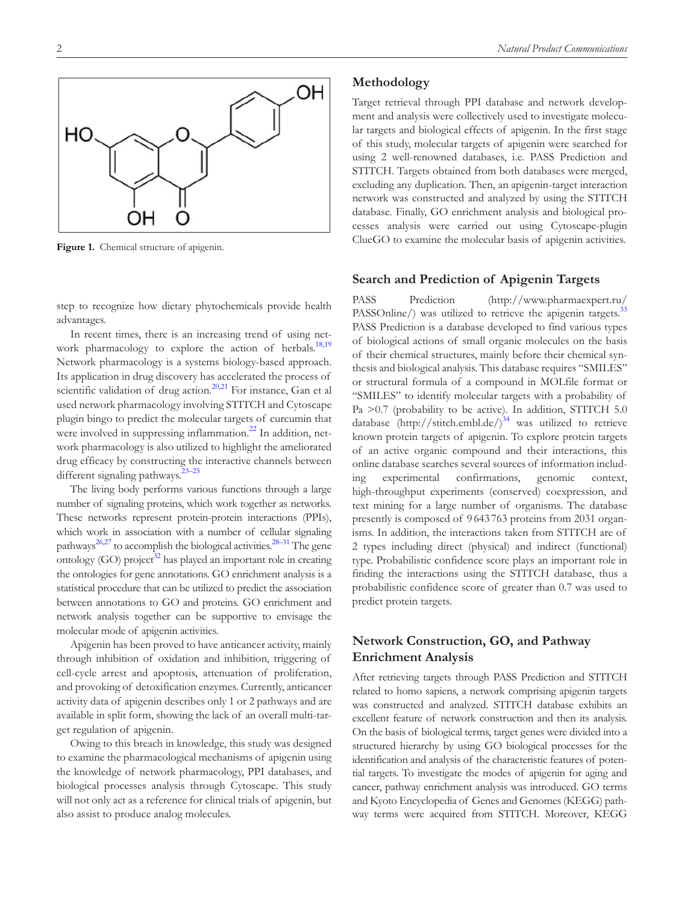**Methodology**

Target retrieval through PPI database and network development and analysis were collectively used to investigate molecular targets and biological effects of apigenin. In the first stage of this study, molecular targets of apigenin were searched for using 2 well-renowned databases, i.e. PASS Prediction and STITCH. Targets obtained from both databases were merged, excluding any duplication. Then, an apigenin-target interaction network was constructed and analyzed by using the STITCH database. Finally, GO enrichment analysis and biological processes analysis were carried out using Cytoscape-plugin ClueGO to examine the molecular basis of apigenin activities.

# **Search and Prediction of Apigenin Targets**

PASS Prediction (http://www.pharmaexpert.ru/ PASSOnline/) was utilized to retrieve the apigenin targets.<sup>33</sup> PASS Prediction is a database developed to find various types of biological actions of small organic molecules on the basis of their chemical structures, mainly before their chemical synthesis and biological analysis. This database requires "SMILES" or structural formula of a compound in MOLfile format or "SMILES" to identify molecular targets with a probability of Pa >0.7 (probability to be active). In addition, STITCH 5.0 database (http://stitch.embl.de/)<sup>34</sup> was utilized to retrieve known protein targets of apigenin. To explore protein targets of an active organic compound and their interactions, this online database searches several sources of information including experimental confirmations, genomic context, high-throughput experiments (conserved) coexpression, and text mining for a large number of organisms. The database presently is composed of 9 643 763 proteins from 2031 organisms. In addition, the interactions taken from STITCH are of 2 types including direct (physical) and indirect (functional) type. Probabilistic confidence score plays an important role in finding the interactions using the STITCH database, thus a probabilistic confidence score of greater than 0.7 was used to predict protein targets.

# **Network Construction, GO, and Pathway Enrichment Analysis**

After retrieving targets through PASS Prediction and STITCH related to homo sapiens, a network comprising apigenin targets was constructed and analyzed. STITCH database exhibits an excellent feature of network construction and then its analysis. On the basis of biological terms, target genes were divided into a structured hierarchy by using GO biological processes for the identification and analysis of the characteristic features of potential targets. To investigate the modes of apigenin for aging and cancer, pathway enrichment analysis was introduced. GO terms and Kyoto Encyclopedia of Genes and Genomes (KEGG) pathway terms were acquired from STITCH. Moreover, KEGG



step to recognize how dietary phytochemicals provide health advantages.

In recent times, there is an increasing trend of using network pharmacology to explore the action of herbals.<sup>18,19</sup> Network pharmacology is a systems biology-based approach. Its application in drug discovery has accelerated the process of scientific validation of drug action.<sup>20,21</sup> For instance, Gan et al. used network pharmacology involving STITCH and Cytoscape plugin bingo to predict the molecular targets of curcumin that were involved in suppressing inflammation.<sup>22</sup> In addition, network pharmacology is also utilized to highlight the ameliorated drug efficacy by constructing the interactive channels between different signaling pathways.<sup>23-25</sup>

The living body performs various functions through a large number of signaling proteins, which work together as networks. These networks represent protein-protein interactions (PPIs), which work in association with a number of cellular signaling pathways<sup>26,27</sup> to accomplish the biological activities.<sup>28–31</sup> The gene ontology (GO) project<sup>32</sup> has played an important role in creating the ontologies for gene annotations. GO enrichment analysis is a statistical procedure that can be utilized to predict the association between annotations to GO and proteins. GO enrichment and network analysis together can be supportive to envisage the molecular mode of apigenin activities.

Apigenin has been proved to have anticancer activity, mainly through inhibition of oxidation and inhibition, triggering of cell-cycle arrest and apoptosis, attenuation of proliferation, and provoking of detoxification enzymes. Currently, anticancer activity data of apigenin describes only 1 or 2 pathways and are available in split form, showing the lack of an overall multi-target regulation of apigenin.

Owing to this breach in knowledge, this study was designed to examine the pharmacological mechanisms of apigenin using the knowledge of network pharmacology, PPI databases, and biological processes analysis through Cytoscape. This study will not only act as a reference for clinical trials of apigenin, but also assist to produce analog molecules.



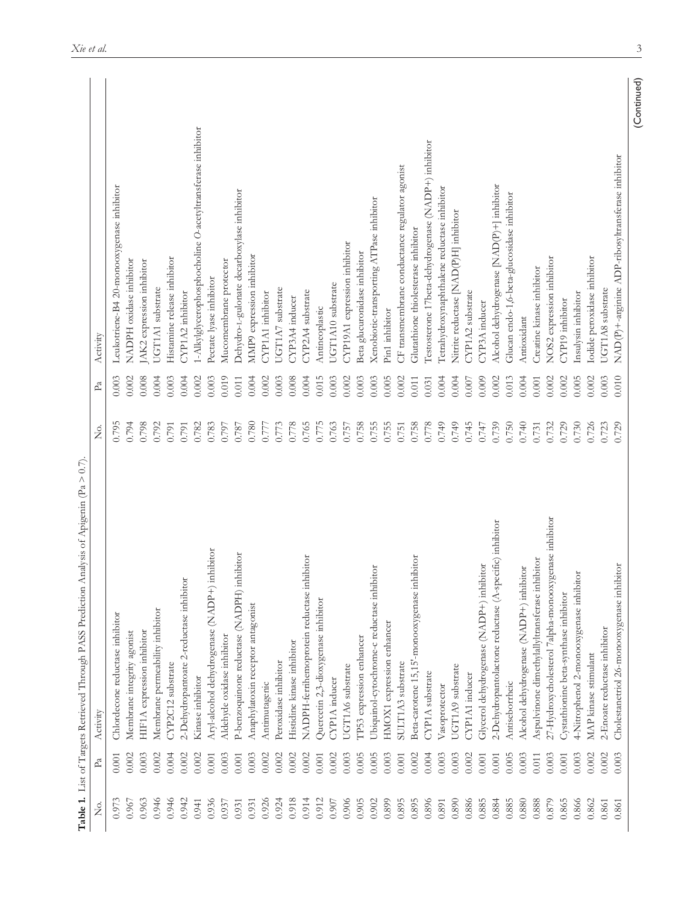| ρ.<br>Ζ | $P_{a}$   | Activity                                                 | $\frac{1}{2}$ | P <sub>a</sub> | Activity                                                   |
|---------|-----------|----------------------------------------------------------|---------------|----------------|------------------------------------------------------------|
| 0.973   | 0.001     | Chlordecone reductase inhibitor                          | 0.795         | 0.003          | Leukotriene-B4 20-monooxygenase inhibitor                  |
| 0.967   | 0.002     | Membrane integrity agonist                               | 0.794         | 0.002          | NADPH oxidase inhibitor                                    |
| 0.963   | 0.003     | HIF1A expression inhibitor                               | 0.798         | 0.008          | AK2 expression inhibitor                                   |
| 0.946   | 0.002     | Membrane permeability inhibitor                          | 0.792         | 0.004          | UGT1A1 substrate                                           |
| 0.946   | 0.004     | CYP2C12 substrate                                        | 0.791         | 0.003          | Histamine release inhibitor                                |
| 0.942   | 0.002     | 2-Dehydropantoate 2-reductase inhibitor                  | 0.791         | 0.004          | CYP1A2 inhibitor                                           |
| 0.941   | 0.002     | Kinase inhibitor                                         | 0.782         | 0.002          | 1-Alkylglycerophosphocholine O-acetyltransferase inhibitor |
| 0.936   | 0.001     | inhibitor<br>Aryl-alcohol dehydrogenase (NADP+)          | 0.783         | 0.003          | Pectate lyase inhibitor                                    |
| 0.937   | 0.003     | Aldehyde oxidase inhibitor                               | 0.797         | 0.019          | Mucomembrane protector                                     |
| 0.931   | $0.001\,$ | P-benzoquinone reductase (NADPH) inhibitor               | 0.787         | 0.011          | Dehydro-L-gulonate decarboxylase inhibitor                 |
| 0.931   | 0.003     | Anaphylatoxin receptor antagonist                        | 0.780         | 0.004          | MMP9 expression inhibitor                                  |
| 0.926   | 0.002     | Antimutagenic                                            | 0.777         | 0.002          | CYP1A1 inhibitor                                           |
| 0.924   | 0.002     | Peroxidase inhibitor                                     | 0.773         | 0.003          | UGT1A7 substrate                                           |
| 0.918   | 0.002     | Histidine kinase inhibitor                               | 0.778         | 0.008          | CYP3A4 inducer                                             |
| 0.914   | 0.002     | NADPH-ferrihemoprotein reductase inhibitor               | 0.765         | 0.004          | CYP2A4 substrate                                           |
| 0.912   | $0.001\,$ | Quercetin 2,3-dioxygenase inhibitor                      | 0.775         | 0.015          | Antineoplastic                                             |
| 0.907   | 0.002     | CYP1A inducer                                            | 0.763         | 0.003          | UGT1A10 substrate                                          |
| 0.906   | 0.003     | UGT1A6 substrate                                         | 0.757         | 0.002          | CYP19A1 expression inhibitor                               |
| 0.905   | 0.005     | TP53 expression enhancer                                 | 0.758         | 0.003          | Beta glucuronidase inhibitor                               |
| 0.902   | 0.005     | Ubiquinol-cytochrome-c reductase inhibitor               | 0.755         | 0.003          | Xenobiotic-transporting ATPase inhibitor                   |
| 0.899   | 0.003     | HMOX1 expression enhancer                                | 0.755         | 0.005          | Pin1 inhibitor                                             |
| 0.895   | 0.001     | SULT1A3 substrate                                        | 0.751         | 0.002          | CF transmembrane conductance regulator agonist             |
| 0.895   | 0.002     | Beta-carotene 15,15'-monooxygenase inhibitor             | 0.758         | 0.011          | Glutathione thiolesterase inhibitor                        |
| 0.896   | 0.004     | CYP1A substrate                                          | 0.778         | 0.031          | Testosterone 17beta-dehydrogenase (NADP+) inhibitor        |
| 0.891   | 0.003     | Vasoprotector                                            | 0.749         | 0.004          | Tetrahydroxynaphthalene reductase inhibitor                |
| 0.890   | 0.003     | UGT1A9 substrate                                         | 0.749         | 0.004          | Nitrite reductase [NAD(P)H] inhibitor                      |
| 0.886   | 0.002     | CYP1A1 inducer                                           | 0.745         | 0.007          | CYP1A2 substrate                                           |
| 0.885   | 0.001     | Glycerol dehydrogenase (NADP+) inhibitor                 | 0.747         | 0.009          | CYP3A inducer                                              |
| 0.884   | 0.001     | 2-Dehydropantolactone reductase (A-specific) inhibitor   | 0.739         | 0.002          | Alcohol dehydrogenase [NAD(P)+] inhibitor                  |
| 0.885   | 0.005     | Antiseborrheic                                           | 0.750         | 0.013          | Glucan endo-1,6-beta-glucosidase inhibitor                 |
| 0.880   | 0.003     | Alcohol dehydrogenase (NADP+) inhibitor                  | 0.740         | 0.004          | Antioxidant                                                |
| 0.888   | 0.011     | Aspulvinone dimethylallyltransferase inhibitor           | 0.731         | 0.001          | Creatine kinase inhibitor                                  |
| 0.879   | 0.003     | genase inhibitor<br>27-Hydroxycholesterol 7alpha-monooxy | 0.732         | 0.002          | NOS2 expression inhibitor                                  |
| 0.865   | 0.001     | Cystathionine beta-synthase inhibitor                    | 0.729         | 0.002          | CYP19 inhibitor                                            |
| 0.866   | 0.003     | 4-Nitrophenol 2-monooxygenase inhibitor                  | 0.730         | 0.005          | Insulysin inhibitor                                        |
| 0.862   | 0.002     | MAP kinase stimulant                                     | 0.726         | 0.002          | Iodide peroxidase inhibitor                                |
| 0.861   | 0.002     | 2-Enoate reductase inhibitor                             | 0.723         | 0.003          | UGT1A8 substrate                                           |
| 0.861   | 0.003     | Cholestanetriol 26-monooxygenase inhibitor               | 0.729         | 0.010          | NAD(P)+-arginine ADP-ribosyltransferase inhibitor          |
|         |           |                                                          |               |                |                                                            |

3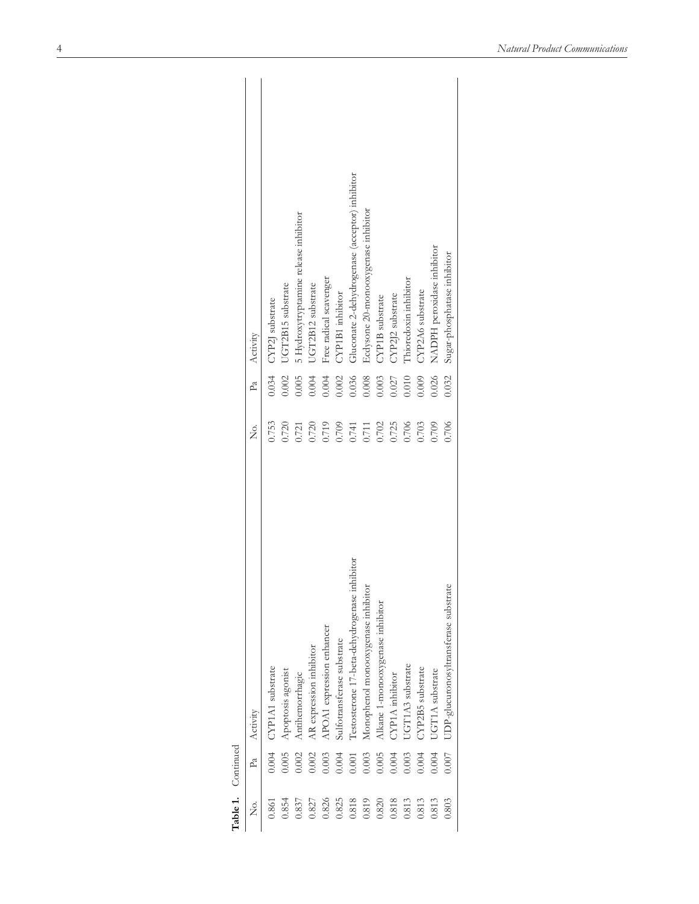|                    | Activity<br>P <sub>a</sub> | CYP2J substrate<br>0.034 | UGT2B15 substrate<br>0.002 | 5 Hydroxytryptamine release inhibitor<br>0.005 | UGT2B12 substrate<br>0.004 | Free radical scavenger<br>0.004 | <b>CYP1B1</b> inhibitor<br>0.002 | Gluconate 2-dehydrogenase (acceptor) inhibitor<br>0.036 | Ecdysone 20-monooxygenase inhibitor<br>0.008 | CYP1B substrate<br>0.003         | CYP2J2 substrate<br>0.027 | Thioredoxin inhibitor<br>0.010 | CYP2A6 substrate<br>0.009 | NADPH peroxidase inhibitor<br>0.026 | Sugar-phosphatase inhibitor<br>0.032     |
|--------------------|----------------------------|--------------------------|----------------------------|------------------------------------------------|----------------------------|---------------------------------|----------------------------------|---------------------------------------------------------|----------------------------------------------|----------------------------------|---------------------------|--------------------------------|---------------------------|-------------------------------------|------------------------------------------|
|                    | s<br>Z                     | 0.753                    | 0.720                      | 0.721                                          | 0.720                      | 0.719                           | 0.709                            | 0.741                                                   | 0.711                                        | 0.702                            | 0.725                     | 0.706                          | 0.703                     | 0.709                               | 0.706                                    |
|                    |                            |                          | Apoptosis agonist          | Antihemorrhagic                                | AR expression inhibitor    | APOA1 expression enhancer       | Sulfotransferase substrate       | Testosterone 17-beta-dehydrogenase inhibitor            | Monophenol monooxygenase inhibitor           | Alkane 1-monooxygenase inhibitor | CYP1A inhibitor           | UGT1A3 substrate               | CYP2B5 substrate          | UGT1A substrate                     | substrate<br>UDP-glucuronosyltransferase |
|                    | Activity                   |                          |                            |                                                |                            |                                 |                                  |                                                         |                                              |                                  |                           |                                |                           |                                     |                                          |
| Table 1. Continued | Pa                         | 0.004 CYP1A1 substrate   | 0.005                      | 0.002                                          | 0.002                      | 0.003                           | 0.004                            | 0.001                                                   | 0.003                                        | 0.005                            | 0.004                     | 0.003                          | 0.004                     | 0.004                               | 1.007                                    |

| ۰           |  |
|-------------|--|
| ╸<br>г<br>۱ |  |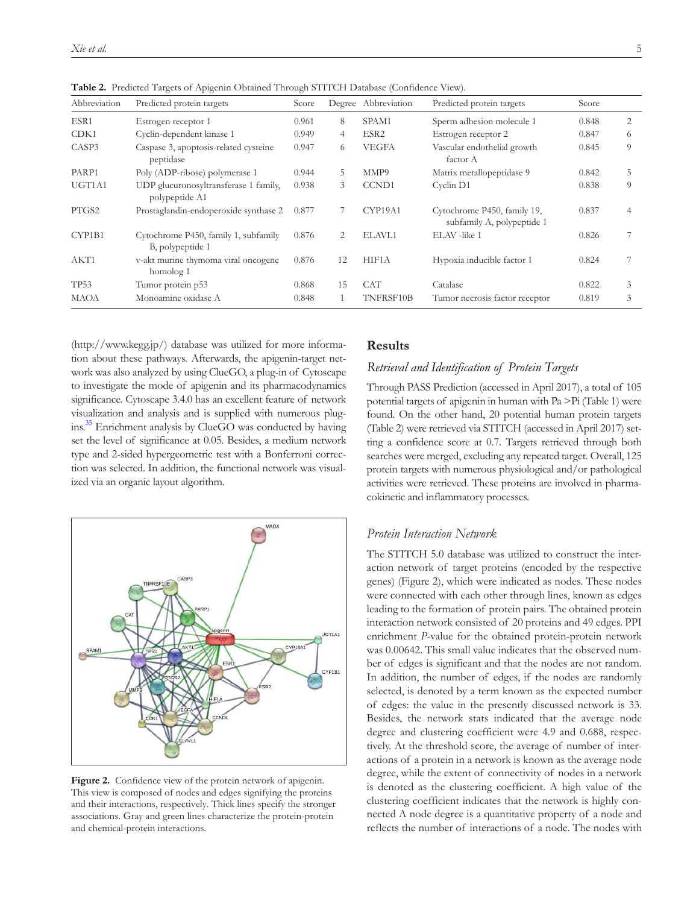| Abbreviation | Predicted protein targets                                | Score |                | Degree Abbreviation | Predicted protein targets                                 | Score |   |
|--------------|----------------------------------------------------------|-------|----------------|---------------------|-----------------------------------------------------------|-------|---|
| ESR1         | Estrogen receptor 1                                      | 0.961 | 8              | SPAM1               | Sperm adhesion molecule 1                                 | 0.848 | 2 |
| CDK1         | Cyclin-dependent kinase 1                                | 0.949 | $\overline{4}$ | ESR <sub>2</sub>    | Estrogen receptor 2                                       | 0.847 | 6 |
| CASP3        | Caspase 3, apoptosis-related cysteine<br>peptidase       | 0.947 | 6              | <b>VEGFA</b>        | Vascular endothelial growth<br>factor A                   | 0.845 | 9 |
| PARP1        | Poly (ADP-ribose) polymerase 1                           | 0.944 | 5              | MMP9                | Matrix metallopeptidase 9                                 | 0.842 | 5 |
| UGT1A1       | UDP glucuronosyltransferase 1 family,<br>polypeptide A1  | 0.938 | 3              | <b>CCND1</b>        | Cyclin D1                                                 | 0.838 | 9 |
| PTGS2        | Prostaglandin-endoperoxide synthase 2                    | 0.877 |                | CYP19A1             | Cytochrome P450, family 19,<br>subfamily A, polypeptide 1 | 0.837 | 4 |
| CYP1B1       | Cytochrome P450, family 1, subfamily<br>B, polypeptide 1 | 0.876 | 2              | ELAVL1              | ELAV-like 1                                               | 0.826 |   |
| AKT1         | v-akt murine thymoma viral oncogene<br>homolog 1         | 0.876 | 12             | HIF1A               | Hypoxia inducible factor 1                                | 0.824 |   |
| <b>TP53</b>  | Tumor protein p53                                        | 0.868 | 15             | <b>CAT</b>          | Catalase                                                  | 0.822 | 3 |
| <b>MAOA</b>  | Monoamine oxidase A                                      | 0.848 |                | TNFRSF10B           | Tumor necrosis factor receptor                            | 0.819 | 3 |

**Table 2.** Predicted Targets of Apigenin Obtained Through STITCH Database (Confidence View).

(http://www.kegg.jp/) database was utilized for more information about these pathways. Afterwards, the apigenin-target network was also analyzed by using ClueGO, a plug-in of Cytoscape to investigate the mode of apigenin and its pharmacodynamics significance. Cytoscape 3.4.0 has an excellent feature of network visualization and analysis and is supplied with numerous plugins.<sup>35</sup> Enrichment analysis by ClueGO was conducted by having set the level of significance at 0.05. Besides, a medium network type and 2-sided hypergeometric test with a Bonferroni correction was selected. In addition, the functional network was visualized via an organic layout algorithm.



Figure 2. Confidence view of the protein network of apigenin. This view is composed of nodes and edges signifying the proteins and their interactions, respectively. Thick lines specify the stronger associations. Gray and green lines characterize the protein-protein and chemical-protein interactions.

# **Results**

### *Retrieval and Identification of Protein Targets*

Through PASS Prediction (accessed in April 2017), a total of 105 potential targets of apigenin in human with Pa >Pi (Table 1) were found. On the other hand, 20 potential human protein targets (Table 2) were retrieved via STITCH (accessed in April 2017) setting a confidence score at 0.7. Targets retrieved through both searches were merged, excluding any repeated target. Overall, 125 protein targets with numerous physiological and/or pathological activities were retrieved. These proteins are involved in pharmacokinetic and inflammatory processes.

# *Protein Interaction Network*

The STITCH 5.0 database was utilized to construct the interaction network of target proteins (encoded by the respective genes) (Figure 2), which were indicated as nodes. These nodes were connected with each other through lines, known as edges leading to the formation of protein pairs. The obtained protein interaction network consisted of 20 proteins and 49 edges. PPI enrichment *P*-value for the obtained protein-protein network was 0.00642. This small value indicates that the observed number of edges is significant and that the nodes are not random. In addition, the number of edges, if the nodes are randomly selected, is denoted by a term known as the expected number of edges: the value in the presently discussed network is 33. Besides, the network stats indicated that the average node degree and clustering coefficient were 4.9 and 0.688, respectively. At the threshold score, the average of number of interactions of a protein in a network is known as the average node degree, while the extent of connectivity of nodes in a network is denoted as the clustering coefficient. A high value of the clustering coefficient indicates that the network is highly connected A node degree is a quantitative property of a node and reflects the number of interactions of a node. The nodes with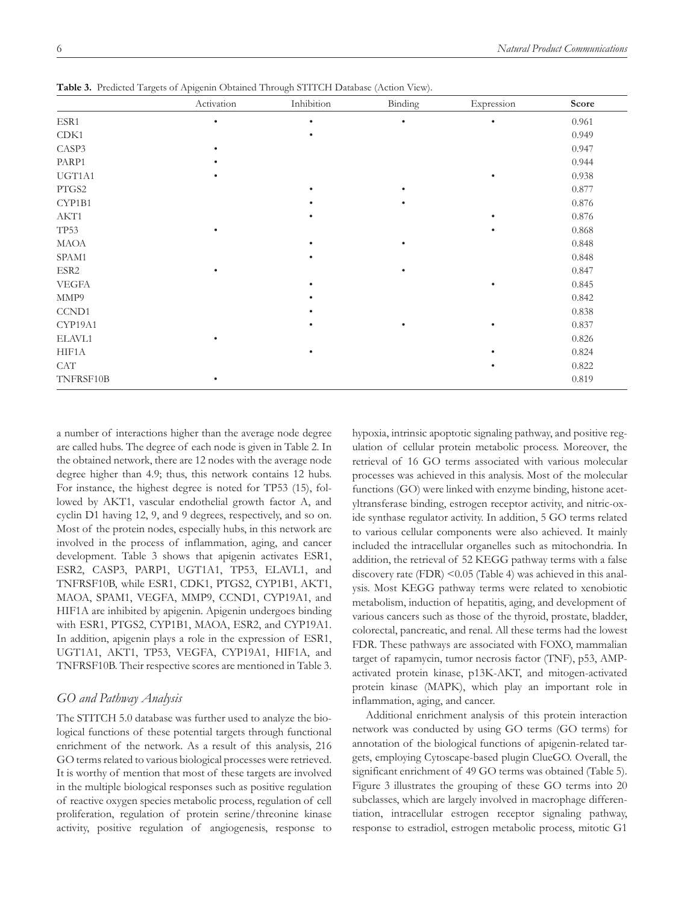|              | Activation | Inhibition | Binding   | Expression | Score |
|--------------|------------|------------|-----------|------------|-------|
| ESR1         | $\bullet$  | $\bullet$  | $\bullet$ | $\bullet$  | 0.961 |
| CDK1         |            | $\bullet$  |           |            | 0.949 |
| CASP3        | $\bullet$  |            |           |            | 0.947 |
| PARP1        | ٠          |            |           |            | 0.944 |
| UGT1A1       | $\bullet$  |            |           | $\bullet$  | 0.938 |
| PTGS2        |            | ٠          |           |            | 0.877 |
| CYP1B1       |            |            |           |            | 0.876 |
| AKT1         |            | ٠          |           | $\bullet$  | 0.876 |
| <b>TP53</b>  | ٠          |            |           | $\bullet$  | 0.868 |
| MAOA         |            | ٠          | $\bullet$ |            | 0.848 |
| SPAM1        |            | ٠          |           |            | 0.848 |
| ESR2         | $\bullet$  |            | ٠         |            | 0.847 |
| <b>VEGFA</b> |            | $\bullet$  |           | $\bullet$  | 0.845 |
| MMP9         |            | ٠          |           |            | 0.842 |
| CCND1        |            |            |           |            | 0.838 |
| CYP19A1      |            | ٠          | ٠         | $\bullet$  | 0.837 |
| ELAVL1       | ٠          |            |           |            | 0.826 |
| HIF1A        |            | ٠          |           | ٠          | 0.824 |
| <b>CAT</b>   |            |            |           | $\bullet$  | 0.822 |
| TNFRSF10B    | ٠          |            |           |            | 0.819 |

**Table 3.** Predicted Targets of Apigenin Obtained Through STITCH Database (Action View).

a number of interactions higher than the average node degree are called hubs. The degree of each node is given in Table 2. In the obtained network, there are 12 nodes with the average node degree higher than 4.9; thus, this network contains 12 hubs. For instance, the highest degree is noted for TP53 (15), followed by AKT1, vascular endothelial growth factor A, and cyclin D1 having 12, 9, and 9 degrees, respectively, and so on. Most of the protein nodes, especially hubs, in this network are involved in the process of inflammation, aging, and cancer development. Table 3 shows that apigenin activates ESR1, ESR2, CASP3, PARP1, UGT1A1, TP53, ELAVL1, and TNFRSF10B, while ESR1, CDK1, PTGS2, CYP1B1, AKT1, MAOA, SPAM1, VEGFA, MMP9, CCND1, CYP19A1, and HIF1A are inhibited by apigenin. Apigenin undergoes binding with ESR1, PTGS2, CYP1B1, MAOA, ESR2, and CYP19A1. In addition, apigenin plays a role in the expression of ESR1, UGT1A1, AKT1, TP53, VEGFA, CYP19A1, HIF1A, and TNFRSF10B. Their respective scores are mentioned in Table 3.

# *GO and Pathway Analysis*

The STITCH 5.0 database was further used to analyze the biological functions of these potential targets through functional enrichment of the network. As a result of this analysis, 216 GO terms related to various biological processes were retrieved. It is worthy of mention that most of these targets are involved in the multiple biological responses such as positive regulation of reactive oxygen species metabolic process, regulation of cell proliferation, regulation of protein serine/threonine kinase activity, positive regulation of angiogenesis, response to hypoxia, intrinsic apoptotic signaling pathway, and positive regulation of cellular protein metabolic process. Moreover, the retrieval of 16 GO terms associated with various molecular processes was achieved in this analysis. Most of the molecular functions (GO) were linked with enzyme binding, histone acetyltransferase binding, estrogen receptor activity, and nitric-oxide synthase regulator activity. In addition, 5 GO terms related to various cellular components were also achieved. It mainly included the intracellular organelles such as mitochondria. In addition, the retrieval of 52 KEGG pathway terms with a false discovery rate (FDR) <0.05 (Table 4) was achieved in this analysis. Most KEGG pathway terms were related to xenobiotic metabolism, induction of hepatitis, aging, and development of various cancers such as those of the thyroid, prostate, bladder, colorectal, pancreatic, and renal. All these terms had the lowest FDR. These pathways are associated with FOXO, mammalian target of rapamycin, tumor necrosis factor (TNF), p53, AMPactivated protein kinase, p13K-AKT, and mitogen-activated protein kinase (MAPK), which play an important role in inflammation, aging, and cancer.

Additional enrichment analysis of this protein interaction network was conducted by using GO terms (GO terms) for annotation of the biological functions of apigenin-related targets, employing Cytoscape-based plugin ClueGO. Overall, the significant enrichment of 49 GO terms was obtained (Table 5). Figure 3 illustrates the grouping of these GO terms into 20 subclasses, which are largely involved in macrophage differentiation, intracellular estrogen receptor signaling pathway, response to estradiol, estrogen metabolic process, mitotic G1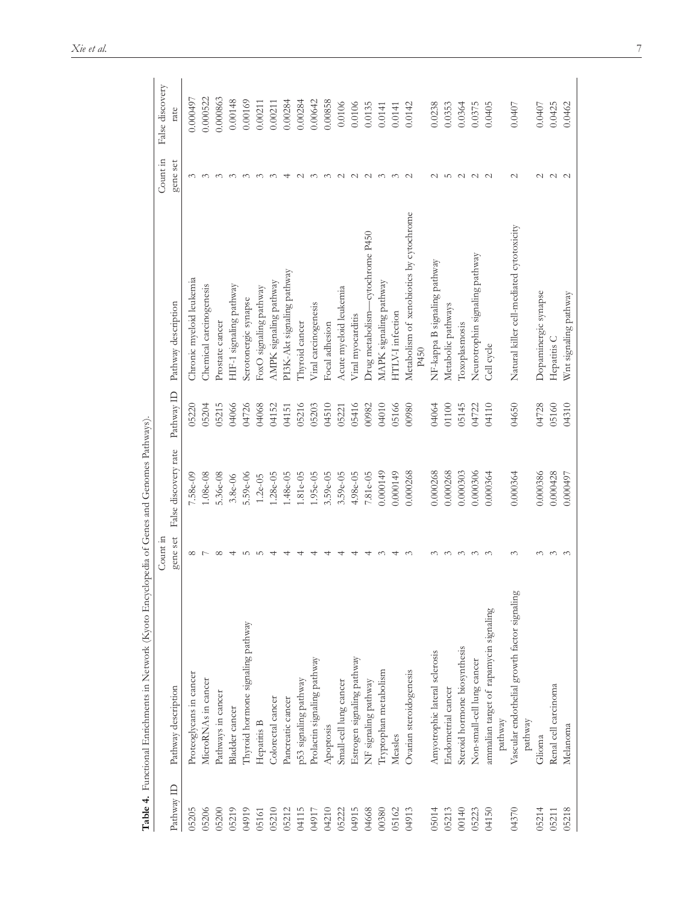| Prolactin signaling pathway<br>Proteoglycans in cancer<br>MicroRNAs in cancer<br>p53 signaling pathway<br>Pathway description<br>Pathways in cancer<br>Colorectal cancer<br>Pancreatic cancer<br><b>Bladder</b> cancer<br>Hepatitis B<br>Apoptosis<br>Pathway ID<br>05206<br>04115<br>05205<br>05200<br>05219<br>04919<br>05212<br>04917<br>04210<br>05210<br>05161 |                                              | gene set              | False discovery rate | Pathway ID | Pathway description                             | gene set                                 | False discovery<br>rate |
|---------------------------------------------------------------------------------------------------------------------------------------------------------------------------------------------------------------------------------------------------------------------------------------------------------------------------------------------------------------------|----------------------------------------------|-----------------------|----------------------|------------|-------------------------------------------------|------------------------------------------|-------------------------|
|                                                                                                                                                                                                                                                                                                                                                                     |                                              |                       |                      |            |                                                 |                                          |                         |
|                                                                                                                                                                                                                                                                                                                                                                     |                                              | $\infty$              | 7.58e-09             | 05220      | Chronic myeloid leukemia                        | $\sim$                                   | 0.0000497               |
|                                                                                                                                                                                                                                                                                                                                                                     |                                              |                       | $1.08e-08$           | 05204      | Chemical carcinogenesis                         | $\sim$                                   | 0.000522                |
|                                                                                                                                                                                                                                                                                                                                                                     |                                              | $\infty$              | 5.36e-08             | 05215      | Prostate cancer                                 | $\sim$                                   | 0.000863                |
|                                                                                                                                                                                                                                                                                                                                                                     |                                              |                       | $3.8e-06$            | 04066      | HIF-1 signaling pathway                         | $\sim$                                   | 0.00148                 |
|                                                                                                                                                                                                                                                                                                                                                                     | Thyroid hormone signaling pathway            | $\mathfrak{L} \cap$   | 5.59e-06             | 04726      | Serotonergic synapse                            |                                          | 0.00169                 |
|                                                                                                                                                                                                                                                                                                                                                                     |                                              | $\mathfrak{L} \cap$   | $1.2e-05$            | 04068      | FoxO signaling pathway                          | $\sim$                                   | 0.00211                 |
|                                                                                                                                                                                                                                                                                                                                                                     |                                              |                       | $.28e-05$            | 04152      | AMPK signaling pathway                          |                                          | 0.00211                 |
|                                                                                                                                                                                                                                                                                                                                                                     |                                              |                       | $.48e-05$            | 04151      | PI3K-Akt signaling pathway                      |                                          | 0.00284                 |
|                                                                                                                                                                                                                                                                                                                                                                     |                                              |                       | $.81e - 05$          | 05216      | Thyroid cancer                                  | $\sim$                                   | 0.00284                 |
|                                                                                                                                                                                                                                                                                                                                                                     |                                              |                       | $.95e-05$            | 05203      | Viral carcinogenesis                            | $\sim$                                   | 0.00642                 |
|                                                                                                                                                                                                                                                                                                                                                                     |                                              |                       | $3.59e-05$           | 04510      | Focal adhesion                                  | $\sim$                                   | 0.00858                 |
| Small-cell lung cancer<br>05222                                                                                                                                                                                                                                                                                                                                     |                                              |                       | 3.59e-05             | 05221      | Acute myeloid leukemia                          | $\sim$                                   | 0.0106                  |
| Estrogen signaling pathway<br>04915                                                                                                                                                                                                                                                                                                                                 |                                              |                       | $4.98e-05$           | 05416      | Viral myocarditis                               | $\begin{array}{c} 2 \ 1 \ 1 \end{array}$ | 0.0106                  |
| NF signaling pathway<br>04668                                                                                                                                                                                                                                                                                                                                       |                                              |                       | $.81e-05$            | 00982      | Drug metabolism—cytochrome P450                 |                                          | 0.0135                  |
| Tryptophan metabolism<br>00380                                                                                                                                                                                                                                                                                                                                      |                                              |                       | 0.000149             | 04010      | MAPK signaling pathway                          | $\sim$                                   | 0.0141                  |
| Measles<br>05162                                                                                                                                                                                                                                                                                                                                                    |                                              |                       | 0.000149             | 05166      | HTLV-I infection                                | $\sim$                                   | 0.0141                  |
| Ovarian steroidogenesis<br>04913                                                                                                                                                                                                                                                                                                                                    |                                              |                       | 0.000268             | 00980      | Metabolism of xenobiotics by cytochrome<br>P450 | $\sim$                                   | 0.0142                  |
| Amyotrophic lateral sclerosis<br>05014                                                                                                                                                                                                                                                                                                                              |                                              |                       | 0.000268             | 04064      | NF-kappa B signaling pathway                    | $\sim$                                   | 0.0238                  |
| Endometrial cancer<br>05213                                                                                                                                                                                                                                                                                                                                         |                                              | 3                     | 0.000268             | 01100      | Metabolic pathways                              | LO                                       | 0.0353                  |
| Steroid hormone biosynthesis<br>00140                                                                                                                                                                                                                                                                                                                               |                                              | $\tilde{\phantom{0}}$ | 0.000303             | 05145      | Toxoplasmosis                                   | $\sim$                                   | 0.0364                  |
| Non-small-cell lung cancer<br>05223                                                                                                                                                                                                                                                                                                                                 |                                              | $\sim$                | 0.000306             | 04722      | Neurotrophin signaling pathway                  | $\sim$                                   | 0.0375                  |
| pathway<br>04150                                                                                                                                                                                                                                                                                                                                                    | ammalian target of rapamycin signaling       | $\sim$                | 0.000364             | 04110      | Cell cycle                                      | $\sim$                                   | 0.0405                  |
| 04370                                                                                                                                                                                                                                                                                                                                                               | Vascular endothelial growth factor signaling | $\sim$                | 0.000364             | 04650      | Natural killer cell-mediated cytotoxicity       | $\sim$                                   | 0.0407                  |
| pathway                                                                                                                                                                                                                                                                                                                                                             |                                              |                       |                      |            |                                                 |                                          |                         |
| Glioma<br>05214                                                                                                                                                                                                                                                                                                                                                     |                                              | ↶                     | 0.000386             | 04728      | Dopaminergic synapse                            | $\sim$                                   | 0.0407                  |
| Renal cell carcinoma<br>05211                                                                                                                                                                                                                                                                                                                                       |                                              | $\sim$                | 0.000428             | 05160      | Hepatitis C                                     | $\sim$ $\sim$                            | 0.0425                  |
| Melanoma<br>05218                                                                                                                                                                                                                                                                                                                                                   |                                              | 3                     | 0.000497             | 04310      | Wnt signaling pathway                           |                                          | 0.0462                  |

Table 4. Functional Enrichments in Network (Kyoto Encyclopedia of Genes and Genomes Pathways). **Table 4.** Functional Enrichments in Network (Kyoto Encyclopedia of Genes and Genomes Pathways).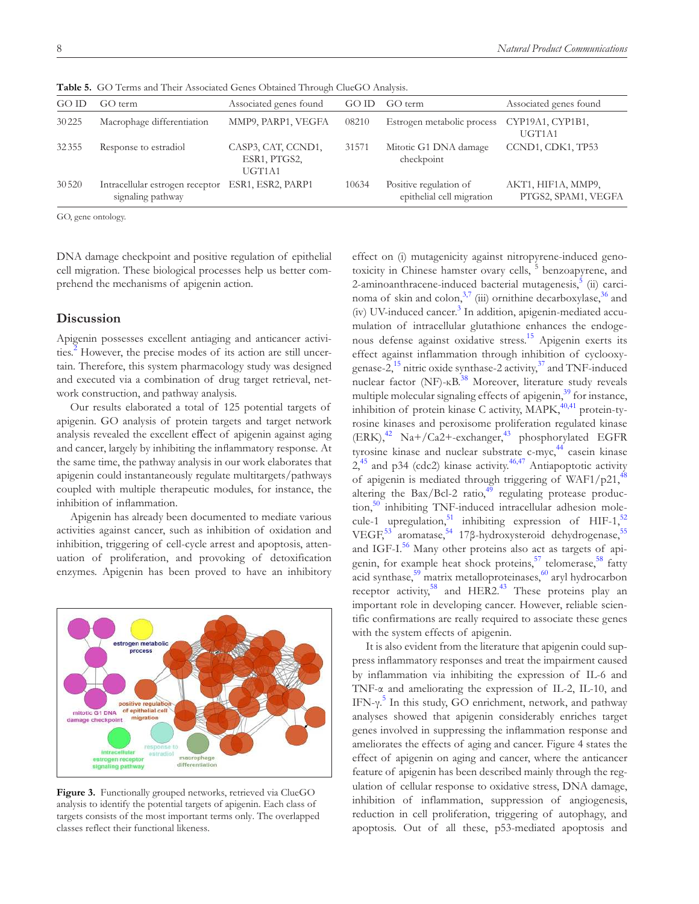|       | <b>Table 9.</b> OU Terms and Their Associated Oches Obtained Through ChucOU Amarysis. |                                              |       |                                                     |                                           |
|-------|---------------------------------------------------------------------------------------|----------------------------------------------|-------|-----------------------------------------------------|-------------------------------------------|
| GO ID | GO term                                                                               | Associated genes found                       | GO ID | GO term                                             | Associated genes found                    |
| 30225 | Macrophage differentiation                                                            | MMP9, PARP1, VEGFA                           | 08210 | Estrogen metabolic process                          | CYP19A1, CYP1B1,<br>UGT1A1                |
| 32355 | Response to estradiol                                                                 | CASP3, CAT, CCND1,<br>ESR1, PTGS2,<br>UGT1A1 | 31571 | Mitotic G1 DNA damage<br>checkpoint                 | CCND1, CDK1, TP53                         |
| 30520 | Intracellular estrogen receptor<br>signaling pathway                                  | ESR1, ESR2, PARP1                            | 10634 | Positive regulation of<br>epithelial cell migration | AKT1, HIF1A, MMP9,<br>PTGS2, SPAM1, VEGFA |

**Table 5.** GO Terms and Their Associated Genes Obtained Through ClueGO Analysis.

GO, gene ontology.

DNA damage checkpoint and positive regulation of epithelial cell migration. These biological processes help us better comprehend the mechanisms of apigenin action.

### **Discussion**

Apigenin possesses excellent antiaging and anticancer activities.<sup>2</sup> However, the precise modes of its action are still uncertain. Therefore, this system pharmacology study was designed and executed via a combination of drug target retrieval, network construction, and pathway analysis.

Our results elaborated a total of 125 potential targets of apigenin. GO analysis of protein targets and target network analysis revealed the excellent effect of apigenin against aging and cancer, largely by inhibiting the inflammatory response. At the same time, the pathway analysis in our work elaborates that apigenin could instantaneously regulate multitargets/pathways coupled with multiple therapeutic modules, for instance, the inhibition of inflammation.

Apigenin has already been documented to mediate various activities against cancer, such as inhibition of oxidation and inhibition, triggering of cell-cycle arrest and apoptosis, attenuation of proliferation, and provoking of detoxification enzymes. Apigenin has been proved to have an inhibitory



Figure 3. Functionally grouped networks, retrieved via ClueGO analysis to identify the potential targets of apigenin. Each class of targets consists of the most important terms only. The overlapped classes reflect their functional likeness.

effect on (i) mutagenicity against nitropyrene-induced genotoxicity in Chinese hamster ovary cells, <sup>5</sup> benzoapyrene, and 2-aminoanthracene-induced bacterial mutagenesis,<sup>5</sup> (ii) carcinoma of skin and colon, $3^{3}$  (iii) ornithine decarboxylase,  $3^{6}$  and (iv) UV-induced cancer.<sup>3</sup> In addition, apigenin-mediated accumulation of intracellular glutathione enhances the endogenous defense against oxidative stress.<sup>15</sup> Apigenin exerts its effect against inflammation through inhibition of cyclooxygenase-2, $^{15}$  nitric oxide synthase-2 activity, $^{37}$  and TNF-induced nuclear factor ( $NF$ )- $KB$ <sup>38</sup> Moreover, literature study reveals multiple molecular signaling effects of apigenin,<sup>39</sup> for instance, inhibition of protein kinase C activity, MAPK,<sup>40,41</sup> protein-tyrosine kinases and peroxisome proliferation regulated kinase  $(ERK),$ <sup>42</sup> Na+/Ca2+-exchanger,<sup>43</sup> phosphorylated EGFR tyrosine kinase and nuclear substrate  $c$ -my $c<sub>1</sub><sup>44</sup>$  casein kinase  $2,45$  and p34 (cdc2) kinase activity. $46,47$  Antiapoptotic activity of apigenin is mediated through triggering of WAF1/p21, $^{48}$ altering the Bax/Bcl-2 ratio, $49$  regulating protease production,<sup>50</sup> inhibiting TNF-induced intracellular adhesion molecule-1 upregulation,<sup>51</sup> inhibiting expression of HIF-1,<sup>5</sup> VEGF,<sup>53</sup> aromatase,<sup>54</sup> 17β-hydroxysteroid dehydrogenase,<sup>55</sup> and IGF-I.<sup>56</sup> Many other proteins also act as targets of apigenin, for example heat shock proteins,<sup>57</sup> telomerase,<sup>58</sup> fatty acid synthase,<sup>59</sup> matrix metalloproteinases,<sup>60</sup> aryl hydrocarbon receptor activity,<sup>58</sup> and HER2.<sup>43</sup> These proteins play an important role in developing cancer. However, reliable scientific confirmations are really required to associate these genes with the system effects of apigenin.

It is also evident from the literature that apigenin could suppress inflammatory responses and treat the impairment caused by inflammation via inhibiting the expression of IL-6 and TNF-α and ameliorating the expression of IL-2, IL-10, and IFN-γ.<sup>5</sup> In this study, GO enrichment, network, and pathway analyses showed that apigenin considerably enriches target genes involved in suppressing the inflammation response and ameliorates the effects of aging and cancer. Figure 4 states the effect of apigenin on aging and cancer, where the anticancer feature of apigenin has been described mainly through the regulation of cellular response to oxidative stress, DNA damage, inhibition of inflammation, suppression of angiogenesis, reduction in cell proliferation, triggering of autophagy, and apoptosis. Out of all these, p53-mediated apoptosis and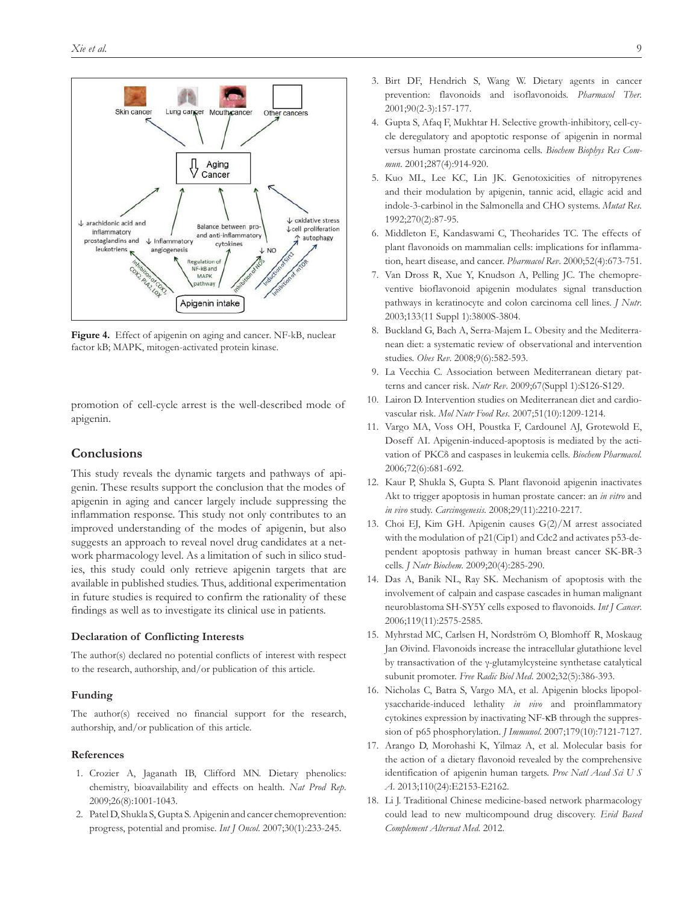

**Figure 4.** Effect of apigenin on aging and cancer. NF-kB, nuclear factor kB; MAPK, mitogen-activated protein kinase.

promotion of cell-cycle arrest is the well-described mode of apigenin.

#### **Conclusions**

This study reveals the dynamic targets and pathways of apigenin. These results support the conclusion that the modes of apigenin in aging and cancer largely include suppressing the inflammation response. This study not only contributes to an improved understanding of the modes of apigenin, but also suggests an approach to reveal novel drug candidates at a network pharmacology level. As a limitation of such in silico studies, this study could only retrieve apigenin targets that are available in published studies. Thus, additional experimentation in future studies is required to confirm the rationality of these findings as well as to investigate its clinical use in patients.

#### **Declaration of Conflicting Interests**

The author(s) declared no potential conflicts of interest with respect to the research, authorship, and/or publication of this article.

#### **Funding**

The author(s) received no financial support for the research, authorship, and/or publication of this article.

#### **References**

- 1. Crozier A, Jaganath IB, Clifford MN. Dietary phenolics: chemistry, bioavailability and effects on health. *Nat Prod Rep*. 2009;26(8):1001-1043.
- 2. Patel D, Shukla S, Gupta S. Apigenin and cancer chemoprevention: progress, potential and promise. *Int J Oncol*. 2007;30(1):233-245.
- 3. Birt DF, Hendrich S, Wang W. Dietary agents in cancer prevention: flavonoids and isoflavonoids. *Pharmacol Ther*. 2001;90(2-3):157-177.
- 4. Gupta S, Afaq F, Mukhtar H. Selective growth-inhibitory, cell-cycle deregulatory and apoptotic response of apigenin in normal versus human prostate carcinoma cells. *Biochem Biophys Res Commun*. 2001;287(4):914-920.
- 5. Kuo ML, Lee KC, Lin JK. Genotoxicities of nitropyrenes and their modulation by apigenin, tannic acid, ellagic acid and indole-3-carbinol in the Salmonella and CHO systems. *Mutat Res*. 1992;270(2):87-95.
- 6. Middleton E, Kandaswami C, Theoharides TC. The effects of plant flavonoids on mammalian cells: implications for inflammation, heart disease, and cancer. *Pharmacol Rev*. 2000;52(4):673-751.
- 7. Van Dross R, Xue Y, Knudson A, Pelling JC. The chemopreventive bioflavonoid apigenin modulates signal transduction pathways in keratinocyte and colon carcinoma cell lines. *J Nutr*. 2003;133(11 Suppl 1):3800S-3804.
- 8. Buckland G, Bach A, Serra-Majem L. Obesity and the Mediterranean diet: a systematic review of observational and intervention studies. *Obes Rev*. 2008;9(6):582-593.
- 9. La Vecchia C. Association between Mediterranean dietary patterns and cancer risk. *Nutr Rev*. 2009;67(Suppl 1):S126-S129.
- 10. Lairon D. Intervention studies on Mediterranean diet and cardiovascular risk. *Mol Nutr Food Res*. 2007;51(10):1209-1214.
- 11. Vargo MA, Voss OH, Poustka F, Cardounel AJ, Grotewold E, Doseff AI. Apigenin-induced-apoptosis is mediated by the activation of PKCδ and caspases in leukemia cells. *Biochem Pharmacol*. 2006;72(6):681-692.
- 12. Kaur P, Shukla S, Gupta S. Plant flavonoid apigenin inactivates Akt to trigger apoptosis in human prostate cancer: an *in vitro* and *in vivo* study. *Carcinogenesis*. 2008;29(11):2210-2217.
- 13. Choi EJ, Kim GH. Apigenin causes G(2)/M arrest associated with the modulation of p21(Cip1) and Cdc2 and activates p53-dependent apoptosis pathway in human breast cancer SK-BR-3 cells. *J Nutr Biochem*. 2009;20(4):285-290.
- 14. Das A, Banik NL, Ray SK. Mechanism of apoptosis with the involvement of calpain and caspase cascades in human malignant neuroblastoma SH-SY5Y cells exposed to flavonoids. *Int J Cancer*. 2006;119(11):2575-2585.
- 15. Myhrstad MC, Carlsen H, Nordström O, Blomhoff R, Moskaug Jan Øivind. Flavonoids increase the intracellular glutathione level by transactivation of the γ-glutamylcysteine synthetase catalytical subunit promoter. *Free Radic Biol Med*. 2002;32(5):386-393.
- 16. Nicholas C, Batra S, Vargo MA, et al. Apigenin blocks lipopolysaccharide-induced lethality *in vivo* and proinflammatory cytokines expression by inactivating NF-κB through the suppression of p65 phosphorylation. *J Immunol*. 2007;179(10):7121-7127.
- 17. Arango D, Morohashi K, Yilmaz A, et al. Molecular basis for the action of a dietary flavonoid revealed by the comprehensive identification of apigenin human targets. *Proc Natl Acad Sci U S A*. 2013;110(24):E2153-E2162.
- 18. Li J. Traditional Chinese medicine-based network pharmacology could lead to new multicompound drug discovery. *Evid Based Complement Alternat Med*. 2012.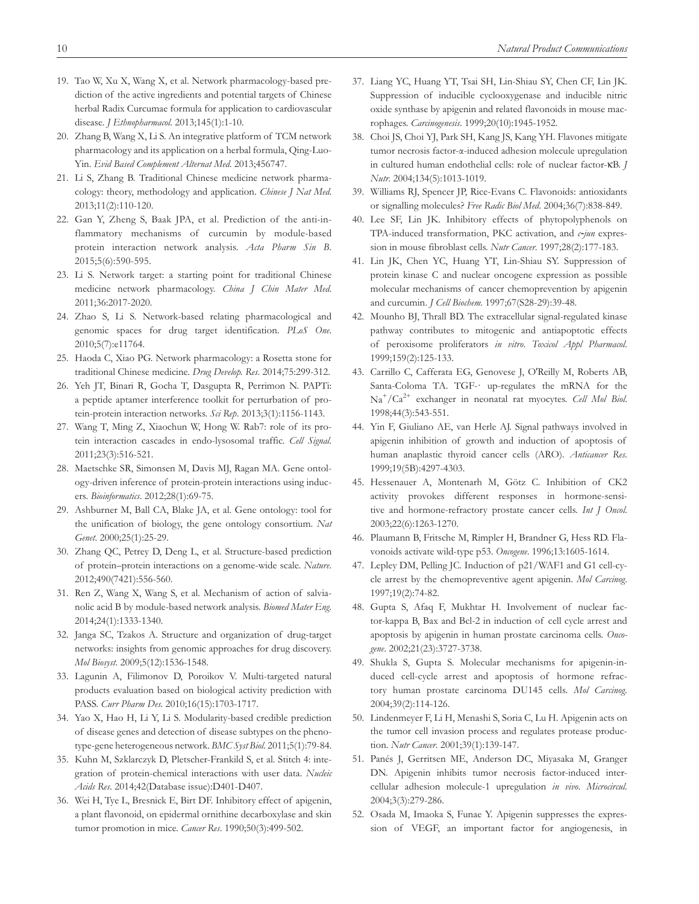- 19. Tao W, Xu X, Wang X, et al. Network pharmacology-based prediction of the active ingredients and potential targets of Chinese herbal Radix Curcumae formula for application to cardiovascular disease. *J Ethnopharmacol*. 2013;145(1):1-10.
- 20. Zhang B, Wang X, Li S. An integrative platform of TCM network pharmacology and its application on a herbal formula, Qing-Luo-Yin. *Evid Based Complement Alternat Med*. 2013;456747.
- 21. Li S, Zhang B. Traditional Chinese medicine network pharmacology: theory, methodology and application. *Chinese J Nat Med*. 2013;11(2):110-120.
- 22. Gan Y, Zheng S, Baak JPA, et al. Prediction of the anti-inflammatory mechanisms of curcumin by module-based protein interaction network analysis. *Acta Pharm Sin B*. 2015;5(6):590-595.
- 23. Li S. Network target: a starting point for traditional Chinese medicine network pharmacology. *China J Chin Mater Med*. 2011;36:2017-2020.
- 24. Zhao S, Li S. Network-based relating pharmacological and genomic spaces for drug target identification. *PLoS One*. 2010;5(7):e11764.
- 25. Haoda C, Xiao PG. Network pharmacology: a Rosetta stone for traditional Chinese medicine. *Drug Develop. Res*. 2014;75:299-312.
- 26. Yeh JT, Binari R, Gocha T, Dasgupta R, Perrimon N. PAPTi: a peptide aptamer interference toolkit for perturbation of protein-protein interaction networks. *Sci Rep*. 2013;3(1):1156-1143.
- 27. Wang T, Ming Z, Xiaochun W, Hong W. Rab7: role of its protein interaction cascades in endo-lysosomal traffic. *Cell Signal*. 2011;23(3):516-521.
- 28. Maetschke SR, Simonsen M, Davis MJ, Ragan MA. Gene ontology-driven inference of protein-protein interactions using inducers. *Bioinformatics*. 2012;28(1):69-75.
- 29. Ashburner M, Ball CA, Blake JA, et al. Gene ontology: tool for the unification of biology, the gene ontology consortium. *Nat Genet*. 2000;25(1):25-29.
- 30. Zhang QC, Petrey D, Deng L, et al. Structure-based prediction of protein–protein interactions on a genome-wide scale. *Nature*. 2012;490(7421):556-560.
- 31. Ren Z, Wang X, Wang S, et al. Mechanism of action of salvianolic acid B by module-based network analysis. *Biomed Mater Eng*. 2014;24(1):1333-1340.
- 32. Janga SC, Tzakos A. Structure and organization of drug-target networks: insights from genomic approaches for drug discovery. *Mol Biosyst*. 2009;5(12):1536-1548.
- 33. Lagunin A, Filimonov D, Poroikov V. Multi-targeted natural products evaluation based on biological activity prediction with PASS. *Curr Pharm Des*. 2010;16(15):1703-1717.
- 34. Yao X, Hao H, Li Y, Li S. Modularity-based credible prediction of disease genes and detection of disease subtypes on the phenotype-gene heterogeneous network. *BMC Syst Biol*. 2011;5(1):79-84.
- 35. Kuhn M, Szklarczyk D, Pletscher-Frankild S, et al. Stitch 4: integration of protein-chemical interactions with user data. *Nucleic Acids Res*. 2014;42(Database issue):D401-D407.
- 36. Wei H, Tye L, Bresnick E, Birt DF. Inhibitory effect of apigenin, a plant flavonoid, on epidermal ornithine decarboxylase and skin tumor promotion in mice. *Cancer Res*. 1990;50(3):499-502.
- 37. Liang YC, Huang YT, Tsai SH, Lin-Shiau SY, Chen CF, Lin JK. Suppression of inducible cyclooxygenase and inducible nitric oxide synthase by apigenin and related flavonoids in mouse macrophages. *Carcinogenesis*. 1999;20(10):1945-1952.
- 38. Choi JS, Choi YJ, Park SH, Kang JS, Kang YH. Flavones mitigate tumor necrosis factor-α-induced adhesion molecule upregulation in cultured human endothelial cells: role of nuclear factor-κB. *J Nutr*. 2004;134(5):1013-1019.
- 39. Williams RJ, Spencer JP, Rice-Evans C. Flavonoids: antioxidants or signalling molecules? *Free Radic Biol Med*. 2004;36(7):838-849.
- 40. Lee SF, Lin JK. Inhibitory effects of phytopolyphenols on TPA-induced transformation, PKC activation, and  $c$ -*jun* expression in mouse fibroblast cells. *Nutr Cancer*. 1997;28(2):177-183.
- 41. Lin JK, Chen YC, Huang YT, Lin-Shiau SY. Suppression of protein kinase C and nuclear oncogene expression as possible molecular mechanisms of cancer chemoprevention by apigenin and curcumin. *J Cell Biochem*. 1997;67(S28-29):39-48.
- 42. Mounho BJ, Thrall BD. The extracellular signal-regulated kinase pathway contributes to mitogenic and antiapoptotic effects of peroxisome proliferators *in vitro*. *Toxicol Appl Pharmacol*. 1999;159(2):125-133.
- 43. Carrillo C, Cafferata EG, Genovese J, O'Reilly M, Roberts AB, Santa-Coloma TA. TGF-· up-regulates the mRNA for the Na<sup>+</sup> /Ca2+ exchanger in neonatal rat myocytes. *Cell Mol Biol*. 1998;44(3):543-551.
- 44. Yin F, Giuliano AE, van Herle AJ. Signal pathways involved in apigenin inhibition of growth and induction of apoptosis of human anaplastic thyroid cancer cells (ARO). *Anticancer Res*. 1999;19(5B):4297-4303.
- 45. Hessenauer A, Montenarh M, Götz C. Inhibition of CK2 activity provokes different responses in hormone-sensitive and hormone-refractory prostate cancer cells. *Int J Oncol*. 2003;22(6):1263-1270.
- 46. Plaumann B, Fritsche M, Rimpler H, Brandner G, Hess RD. Flavonoids activate wild-type p53. *Oncogene*. 1996;13:1605-1614.
- 47. Lepley DM, Pelling JC. Induction of p21/WAF1 and G1 cell-cycle arrest by the chemopreventive agent apigenin. *Mol Carcinog*. 1997;19(2):74-82.
- 48. Gupta S, Afaq F, Mukhtar H. Involvement of nuclear factor-kappa B, Bax and Bcl-2 in induction of cell cycle arrest and apoptosis by apigenin in human prostate carcinoma cells. *Oncogene*. 2002;21(23):3727-3738.
- 49. Shukla S, Gupta S. Molecular mechanisms for apigenin-induced cell-cycle arrest and apoptosis of hormone refractory human prostate carcinoma DU145 cells. *Mol Carcinog*. 2004;39(2):114-126.
- 50. Lindenmeyer F, Li H, Menashi S, Soria C, Lu H. Apigenin acts on the tumor cell invasion process and regulates protease production. *Nutr Cancer*. 2001;39(1):139-147.
- 51. Panés J, Gerritsen ME, Anderson DC, Miyasaka M, Granger DN. Apigenin inhibits tumor necrosis factor-induced intercellular adhesion molecule-1 upregulation *in vivo*. *Microcircul*. 2004;3(3):279-286.
- 52. Osada M, Imaoka S, Funae Y. Apigenin suppresses the expression of VEGF, an important factor for angiogenesis, in